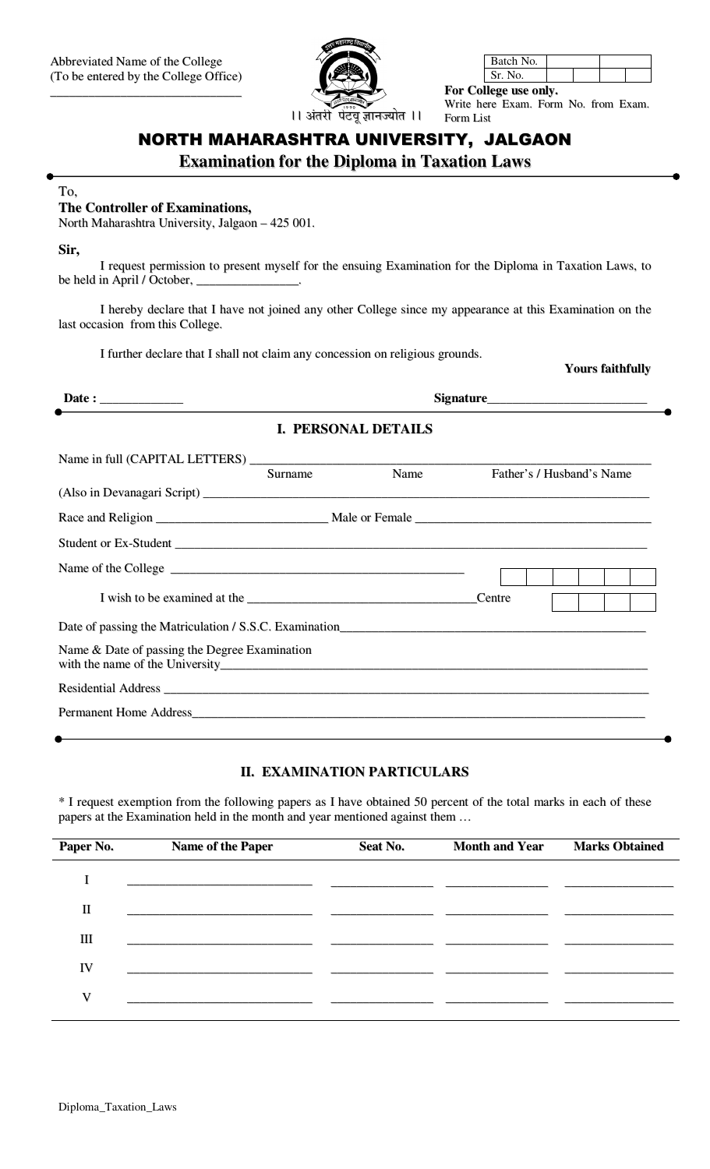

| Batch No. |  |  |
|-----------|--|--|
|           |  |  |

For College use only. Write here Exam. Form No. from Exam. Form List

# NORTH MAHARASHTRA UNIVERSITY, JALGAON

**Examination for the Diploma in Taxation Laws** 

#### To,

### The Controller of Examinations,

North Maharashtra University, Jalgaon - 425 001.

Sir,

I request permission to present myself for the ensuing Examination for the Diploma in Taxation Laws, to be held in April / October, \_

I hereby declare that I have not joined any other College since my appearance at this Examination on the last occasion from this College.

I further declare that I shall not claim any concession on religious grounds.

**Yours faithfully** 

| Date : $\qquad \qquad$                        |         |                            |        |                           |
|-----------------------------------------------|---------|----------------------------|--------|---------------------------|
|                                               |         | <b>I. PERSONAL DETAILS</b> |        |                           |
|                                               | Surname | Name                       |        | Father's / Husband's Name |
|                                               |         |                            |        |                           |
|                                               |         |                            |        |                           |
|                                               |         |                            | Centre |                           |
|                                               |         |                            |        |                           |
| Name & Date of passing the Degree Examination |         |                            |        |                           |
|                                               |         |                            |        |                           |
|                                               |         |                            |        |                           |

## **II. EXAMINATION PARTICULARS**

\* I request exemption from the following papers as I have obtained 50 percent of the total marks in each of these papers at the Examination held in the month and year mentioned against them ...

| Paper No.   | <b>Name of the Paper</b> | Seat No. | <b>Month and Year</b> | <b>Marks Obtained</b> |
|-------------|--------------------------|----------|-----------------------|-----------------------|
|             |                          |          |                       |                       |
| $\mathbf H$ |                          |          |                       |                       |
| Ш           |                          |          |                       |                       |
| IV          |                          |          |                       |                       |
| V           |                          |          |                       |                       |